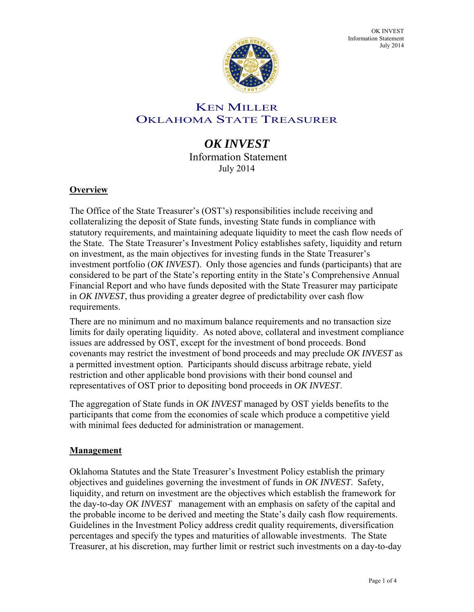

OK INVEST Information Statement July 2014

# KEN MILLER OKLAHOMA STATE TREASURER

# *OK INVEST*  Information Statement

July 2014

# **Overview**

The Office of the State Treasurer's (OST's) responsibilities include receiving and collateralizing the deposit of State funds, investing State funds in compliance with statutory requirements, and maintaining adequate liquidity to meet the cash flow needs of the State. The State Treasurer's Investment Policy establishes safety, liquidity and return on investment, as the main objectives for investing funds in the State Treasurer's investment portfolio (*OK INVEST*). Only those agencies and funds (participants) that are considered to be part of the State's reporting entity in the State's Comprehensive Annual Financial Report and who have funds deposited with the State Treasurer may participate in *OK INVEST*, thus providing a greater degree of predictability over cash flow requirements.

There are no minimum and no maximum balance requirements and no transaction size limits for daily operating liquidity. As noted above, collateral and investment compliance issues are addressed by OST, except for the investment of bond proceeds. Bond covenants may restrict the investment of bond proceeds and may preclude *OK INVEST* as a permitted investment option. Participants should discuss arbitrage rebate, yield restriction and other applicable bond provisions with their bond counsel and representatives of OST prior to depositing bond proceeds in *OK INVEST*.

The aggregation of State funds in *OK INVEST* managed by OST yields benefits to the participants that come from the economies of scale which produce a competitive yield with minimal fees deducted for administration or management.

#### **Management**

Oklahoma Statutes and the State Treasurer's Investment Policy establish the primary objectives and guidelines governing the investment of funds in *OK INVEST*. Safety, liquidity, and return on investment are the objectives which establish the framework for the day-to-day *OK INVEST* management with an emphasis on safety of the capital and the probable income to be derived and meeting the State's daily cash flow requirements. Guidelines in the Investment Policy address credit quality requirements, diversification percentages and specify the types and maturities of allowable investments. The State Treasurer, at his discretion, may further limit or restrict such investments on a day-to-day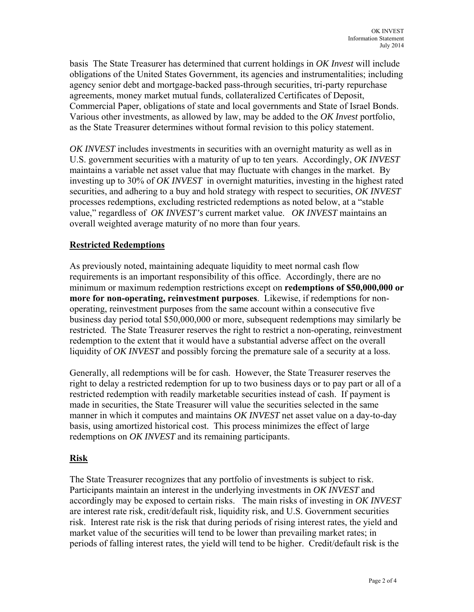basis The State Treasurer has determined that current holdings in *OK Invest* will include obligations of the United States Government, its agencies and instrumentalities; including agency senior debt and mortgage-backed pass-through securities, tri-party repurchase agreements, money market mutual funds, collateralized Certificates of Deposit, Commercial Paper, obligations of state and local governments and State of Israel Bonds. Various other investments, as allowed by law, may be added to the *OK Invest* portfolio, as the State Treasurer determines without formal revision to this policy statement.

*OK INVEST* includes investments in securities with an overnight maturity as well as in U.S. government securities with a maturity of up to ten years. Accordingly, *OK INVEST* maintains a variable net asset value that may fluctuate with changes in the market. By investing up to 30% of *OK INVEST* in overnight maturities, investing in the highest rated securities, and adhering to a buy and hold strategy with respect to securities, *OK INVEST* processes redemptions, excluding restricted redemptions as noted below, at a "stable value," regardless of *OK INVEST's* current market value. *OK INVEST* maintains an overall weighted average maturity of no more than four years.

# **Restricted Redemptions**

As previously noted, maintaining adequate liquidity to meet normal cash flow requirements is an important responsibility of this office. Accordingly, there are no minimum or maximum redemption restrictions except on **redemptions of \$50,000,000 or more for non-operating, reinvestment purposes**. Likewise, if redemptions for nonoperating, reinvestment purposes from the same account within a consecutive five business day period total \$50,000,000 or more, subsequent redemptions may similarly be restricted. The State Treasurer reserves the right to restrict a non-operating, reinvestment redemption to the extent that it would have a substantial adverse affect on the overall liquidity of *OK INVEST* and possibly forcing the premature sale of a security at a loss.

Generally, all redemptions will be for cash. However, the State Treasurer reserves the right to delay a restricted redemption for up to two business days or to pay part or all of a restricted redemption with readily marketable securities instead of cash. If payment is made in securities, the State Treasurer will value the securities selected in the same manner in which it computes and maintains *OK INVEST* net asset value on a day-to-day basis, using amortized historical cost. This process minimizes the effect of large redemptions on *OK INVEST* and its remaining participants.

#### **Risk**

The State Treasurer recognizes that any portfolio of investments is subject to risk. Participants maintain an interest in the underlying investments in *OK INVEST* and accordingly may be exposed to certain risks. The main risks of investing in *OK INVEST* are interest rate risk, credit/default risk, liquidity risk, and U.S. Government securities risk. Interest rate risk is the risk that during periods of rising interest rates, the yield and market value of the securities will tend to be lower than prevailing market rates; in periods of falling interest rates, the yield will tend to be higher. Credit/default risk is the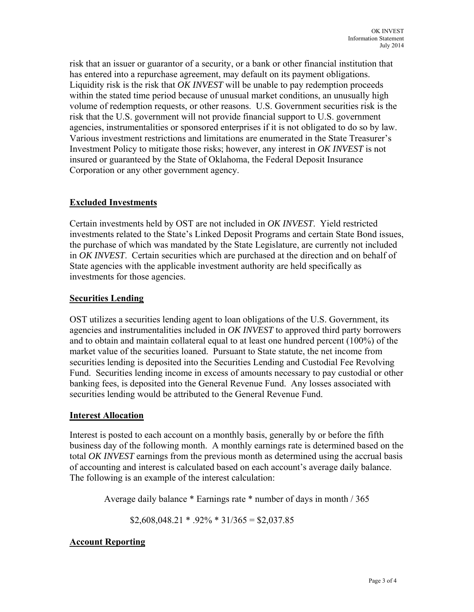risk that an issuer or guarantor of a security, or a bank or other financial institution that has entered into a repurchase agreement, may default on its payment obligations. Liquidity risk is the risk that *OK INVEST* will be unable to pay redemption proceeds within the stated time period because of unusual market conditions, an unusually high volume of redemption requests, or other reasons. U.S. Government securities risk is the risk that the U.S. government will not provide financial support to U.S. government agencies, instrumentalities or sponsored enterprises if it is not obligated to do so by law. Various investment restrictions and limitations are enumerated in the State Treasurer's Investment Policy to mitigate those risks; however, any interest in *OK INVEST* is not insured or guaranteed by the State of Oklahoma, the Federal Deposit Insurance Corporation or any other government agency.

# **Excluded Investments**

Certain investments held by OST are not included in *OK INVEST*. Yield restricted investments related to the State's Linked Deposit Programs and certain State Bond issues, the purchase of which was mandated by the State Legislature, are currently not included in *OK INVEST*. Certain securities which are purchased at the direction and on behalf of State agencies with the applicable investment authority are held specifically as investments for those agencies.

# **Securities Lending**

OST utilizes a securities lending agent to loan obligations of the U.S. Government, its agencies and instrumentalities included in *OK INVEST* to approved third party borrowers and to obtain and maintain collateral equal to at least one hundred percent (100%) of the market value of the securities loaned. Pursuant to State statute, the net income from securities lending is deposited into the Securities Lending and Custodial Fee Revolving Fund. Securities lending income in excess of amounts necessary to pay custodial or other banking fees, is deposited into the General Revenue Fund. Any losses associated with securities lending would be attributed to the General Revenue Fund.

# **Interest Allocation**

Interest is posted to each account on a monthly basis, generally by or before the fifth business day of the following month. A monthly earnings rate is determined based on the total *OK INVEST* earnings from the previous month as determined using the accrual basis of accounting and interest is calculated based on each account's average daily balance. The following is an example of the interest calculation:

Average daily balance \* Earnings rate \* number of days in month / 365

 $$2,608,048.21$  \*  $.92\%$  \*  $31/365 = $2,037.85$ 

# **Account Reporting**